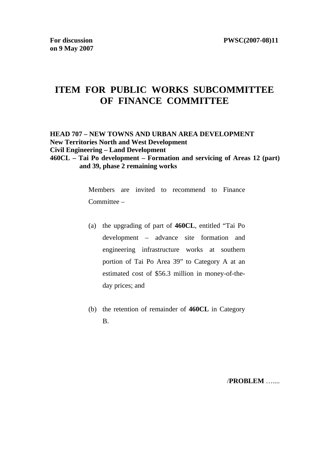# **ITEM FOR PUBLIC WORKS SUBCOMMITTEE OF FINANCE COMMITTEE**

**HEAD 707 – NEW TOWNS AND URBAN AREA DEVELOPMENT New Territories North and West Development Civil Engineering – Land Development 460CL – Tai Po development – Formation and servicing of Areas 12 (part) and 39, phase 2 remaining works** 

> Members are invited to recommend to Finance Committee –

- (a) the upgrading of part of **460CL**, entitled "Tai Po development – advance site formation and engineering infrastructure works at southern portion of Tai Po Area 39" to Category A at an estimated cost of \$56.3 million in money-of-theday prices; and
- (b) the retention of remainder of **460CL** in Category B.

/**PROBLEM** …....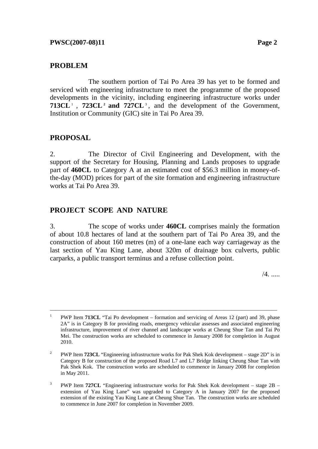#### **PROBLEM**

 The southern portion of Tai Po Area 39 has yet to be formed and serviced with engineering infrastructure to meet the programme of the proposed developments in the vicinity, including engineering infrastructure works under **713CL** 1 , **723CL 2 and 727CL** <sup>3</sup> , and the development of the Government, Institution or Community (GIC) site in Tai Po Area 39.

### **PROPOSAL**

2. The Director of Civil Engineering and Development, with the support of the Secretary for Housing, Planning and Lands proposes to upgrade part of **460CL** to Category A at an estimated cost of \$56.3 million in money-ofthe-day (MOD) prices for part of the site formation and engineering infrastructure works at Tai Po Area 39.

#### **PROJECT SCOPE AND NATURE**

3. The scope of works under **460CL** comprises mainly the formation of about 10.8 hectares of land at the southern part of Tai Po Area 39, and the construction of about 160 metres (m) of a one-lane each way carriageway as the last section of Yau King Lane, about 320m of drainage box culverts, public carparks, a public transport terminus and a refuse collection point.

 $/4$ . ......

<sup>1</sup> PWP Item **713CL** "Tai Po development – formation and servicing of Areas 12 (part) and 39, phase 2A" is in Category B for providing roads, emergency vehicular assesses and associated engineering infrastructure, improvement of river channel and landscape works at Cheung Shue Tan and Tai Po Mei. The construction works are scheduled to commence in January 2008 for completion in August 2010.

<sup>2</sup> PWP Item **723CL** "Engineering infrastructure works for Pak Shek Kok development – stage 2D" is in Category B for construction of the proposed Road L7 and L7 Bridge linking Cheung Shue Tan with Pak Shek Kok. The construction works are scheduled to commence in January 2008 for completion in May 2011.

<sup>3</sup> PWP Item **727CL** "Engineering infrastructure works for Pak Shek Kok development – stage 2B – extension of Yau King Lane" was upgraded to Category A in January 2007 for the proposed extension of the existing Yau King Lane at Cheung Shue Tan. The construction works are scheduled to commence in June 2007 for completion in November 2009.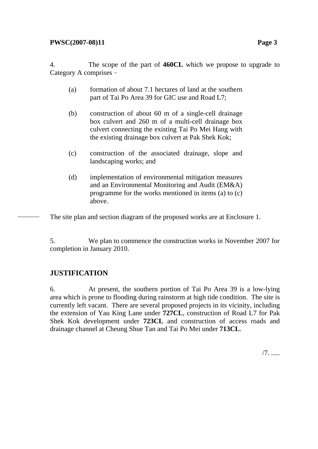4. The scope of the part of **460CL** which we propose to upgrade to Category A comprises–

- (a) formation of about 7.1 hectares of land at the southern part of Tai Po Area 39 for GIC use and Road L7;
- (b) construction of about 60 m of a single-cell drainage box culvert and 260 m of a multi-cell drainage box culvert connecting the existing Tai Po Mei Hang with the existing drainage box culvert at Pak Shek Kok;
- (c) construction of the associated drainage, slope and landscaping works; and
- (d) implementation of environmental mitigation measures and an Environmental Monitoring and Audit (EM&A) programme for the works mentioned in items (a) to (c) above.

The site plan and section diagram of the proposed works are at Enclosure 1.

5. We plan to commence the construction works in November 2007 for completion in January 2010.

# **JUSTIFICATION**

6. At present, the southern portion of Tai Po Area 39 is a low-lying area which is prone to flooding during rainstorm at high tide condition. The site is currently left vacant. There are several proposed projects in its vicinity, including the extension of Yau King Lane under **727CL**, construction of Road L7 for Pak Shek Kok development under **723CL** and construction of access roads and drainage channel at Cheung Shue Tan and Tai Po Mei under **713CL**.

/7. .....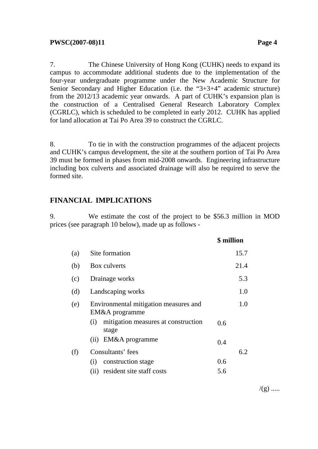7. The Chinese University of Hong Kong (CUHK) needs to expand its campus to accommodate additional students due to the implementation of the four-year undergraduate programme under the New Academic Structure for Senior Secondary and Higher Education (i.e. the "3+3+4" academic structure) from the 2012/13 academic year onwards. A part of CUHK's expansion plan is the construction of a Centralised General Research Laboratory Complex (CGRLC), which is scheduled to be completed in early 2012. CUHK has applied for land allocation at Tai Po Area 39 to construct the CGRLC.

8. To tie in with the construction programmes of the adjacent projects and CUHK's campus development, the site at the southern portion of Tai Po Area 39 must be formed in phases from mid-2008 onwards. Engineering infrastructure including box culverts and associated drainage will also be required to serve the formed site.

#### **FINANCIAL IMPLICATIONS**

9. We estimate the cost of the project to be \$56.3 million in MOD prices (see paragraph 10 below), made up as follows -

|     |                                                         | \$ million |
|-----|---------------------------------------------------------|------------|
| (a) | Site formation                                          | 15.7       |
| (b) | Box culverts                                            | 21.4       |
| (c) | Drainage works                                          | 5.3        |
| (d) | Landscaping works                                       | 1.0        |
| (e) | Environmental mitigation measures and<br>EM&A programme | 1.0        |
|     | mitigation measures at construction<br>(i)<br>stage     | 0.6        |
|     | EM&A programme<br>(ii)                                  | 0.4        |
| (f) | Consultants' fees                                       | 6.2        |
|     | construction stage<br>(i)                               | 0.6        |
|     | resident site staff costs<br>(ii)                       | 5.6        |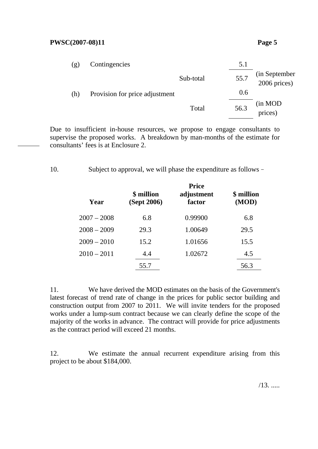#### **PWSC(2007-08)11** Page 5

| (g) | Contingencies                  |           | 5.1  |                               |
|-----|--------------------------------|-----------|------|-------------------------------|
|     |                                | Sub-total | 55.7 | (in September<br>2006 prices) |
| (h) | Provision for price adjustment |           | 0.6  |                               |
|     |                                | Total     | 56.3 | (in MOD<br>prices)            |

Due to insufficient in-house resources, we propose to engage consultants to supervise the proposed works. A breakdown by man-months of the estimate for consultants' fees is at Enclosure 2.

10. Subject to approval, we will phase the expenditure as follows–

| Year          | \$ million<br>(Sept 2006) | <b>Price</b><br>adjustment<br>factor | \$ million<br>(MOD) |
|---------------|---------------------------|--------------------------------------|---------------------|
| $2007 - 2008$ | 6.8                       | 0.99900                              | 6.8                 |
| $2008 - 2009$ | 29.3                      | 1.00649                              | 29.5                |
| $2009 - 2010$ | 15.2                      | 1.01656                              | 15.5                |
| $2010 - 2011$ | 4.4                       | 1.02672                              | 4.5                 |
|               | 55.7                      |                                      | 56.3                |
|               |                           |                                      |                     |

11. We have derived the MOD estimates on the basis of the Government's latest forecast of trend rate of change in the prices for public sector building and construction output from 2007 to 2011. We will invite tenders for the proposed works under a lump-sum contract because we can clearly define the scope of the majority of the works in advance. The contract will provide for price adjustments as the contract period will exceed 21 months.

12. We estimate the annual recurrent expenditure arising from this project to be about \$184,000.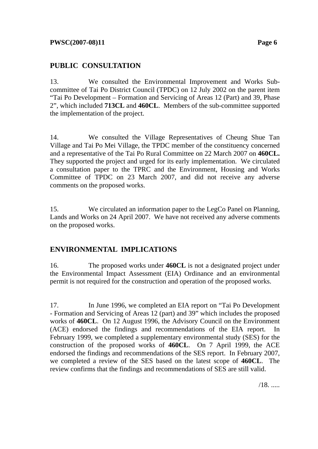# **PUBLIC CONSULTATION**

13. We consulted the Environmental Improvement and Works Subcommittee of Tai Po District Council (TPDC) on 12 July 2002 on the parent item "Tai Po Development – Formation and Servicing of Areas 12 (Part) and 39, Phase 2", which included **713CL** and **460CL**. Members of the sub-committee supported the implementation of the project.

14. We consulted the Village Representatives of Cheung Shue Tan Village and Tai Po Mei Village, the TPDC member of the constituency concerned and a representative of the Tai Po Rural Committee on 22 March 2007 on **460CL.** They supported the project and urged for its early implementation. We circulated a consultation paper to the TPRC and the Environment, Housing and Works Committee of TPDC on 23 March 2007, and did not receive any adverse comments on the proposed works.

15. We circulated an information paper to the LegCo Panel on Planning, Lands and Works on 24 April 2007. We have not received any adverse comments on the proposed works.

#### **ENVIRONMENTAL IMPLICATIONS**

16. The proposed works under **460CL** is not a designated project under the Environmental Impact Assessment (EIA) Ordinance and an environmental permit is not required for the construction and operation of the proposed works.

17. In June 1996, we completed an EIA report on "Tai Po Development - Formation and Servicing of Areas 12 (part) and 39" which includes the proposed works of **460CL**. On 12 August 1996, the Advisory Council on the Environment (ACE) endorsed the findings and recommendations of the EIA report. In February 1999, we completed a supplementary environmental study (SES) for the construction of the proposed works of **460CL**. On 7 April 1999, the ACE endorsed the findings and recommendations of the SES report. In February 2007, we completed a review of the SES based on the latest scope of **460CL**. The review confirms that the findings and recommendations of SES are still valid.

/18. .....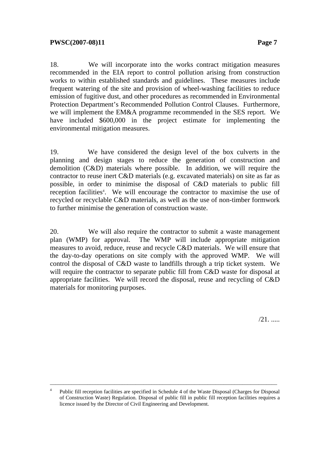18. We will incorporate into the works contract mitigation measures recommended in the EIA report to control pollution arising from construction works to within established standards and guidelines. These measures include frequent watering of the site and provision of wheel-washing facilities to reduce emission of fugitive dust, and other procedures as recommended in Environmental Protection Department's Recommended Pollution Control Clauses. Furthermore, we will implement the EM&A programme recommended in the SES report. We have included \$600,000 in the project estimate for implementing the environmental mitigation measures.

19. We have considered the design level of the box culverts in the planning and design stages to reduce the generation of construction and demolition (C&D) materials where possible. In addition, we will require the contractor to reuse inert C&D materials (e.g. excavated materials) on site as far as possible, in order to minimise the disposal of C&D materials to public fill reception facilities<sup>4</sup>. We will encourage the contractor to maximise the use of recycled or recyclable C&D materials, as well as the use of non-timber formwork to further minimise the generation of construction waste.

20. We will also require the contractor to submit a waste management plan (WMP) for approval. The WMP will include appropriate mitigation measures to avoid, reduce, reuse and recycle C&D materials. We will ensure that the day-to-day operations on site comply with the approved WMP. We will control the disposal of C&D waste to landfills through a trip ticket system. We will require the contractor to separate public fill from C&D waste for disposal at appropriate facilities. We will record the disposal, reuse and recycling of C&D materials for monitoring purposes.

/21. .....

<sup>4</sup> Public fill reception facilities are specified in Schedule 4 of the Waste Disposal (Charges for Disposal of Construction Waste) Regulation. Disposal of public fill in public fill reception facilities requires a licence issued by the Director of Civil Engineering and Development.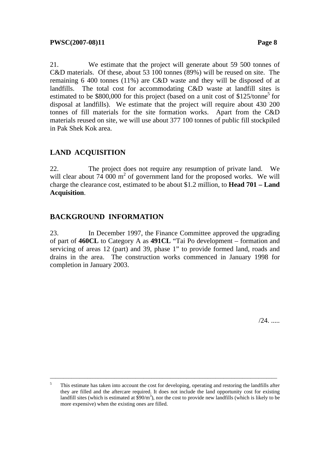21. We estimate that the project will generate about 59 500 tonnes of C&D materials. Of these, about 53 100 tonnes (89%) will be reused on site. The remaining 6 400 tonnes (11%) are C&D waste and they will be disposed of at landfills. The total cost for accommodating C&D waste at landfill sites is estimated to be \$800,000 for this project (based on a unit cost of \$125/tonne<sup>5</sup> for disposal at landfills). We estimate that the project will require about 430 200 tonnes of fill materials for the site formation works. Apart from the C&D materials reused on site, we will use about 377 100 tonnes of public fill stockpiled in Pak Shek Kok area.

# **LAND ACQUISITION**

22. The project does not require any resumption of private land. We will clear about  $74\ 000 \text{ m}^2$  of government land for the proposed works. We will charge the clearance cost, estimated to be about \$1.2 million, to **Head 701 – Land Acquisition**.

#### **BACKGROUND INFORMATION**

23. In December 1997, the Finance Committee approved the upgrading of part of **460CL** to Category A as **491CL** "Tai Po development – formation and servicing of areas 12 (part) and 39, phase 1" to provide formed land, roads and drains in the area. The construction works commenced in January 1998 for completion in January 2003.

/24. .....

<sup>&</sup>lt;sup>5</sup> This estimate has taken into account the cost for developing, operating and restoring the landfills after they are filled and the aftercare required. It does not include the land opportunity cost for existing landfill sites (which is estimated at  $\frac{\sqrt{90}}{m^3}$ ), nor the cost to provide new landfills (which is likely to be more expensive) when the existing ones are filled.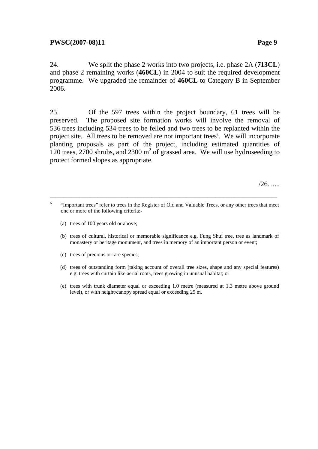24. We split the phase 2 works into two projects, i.e. phase 2A (**713CL**) and phase 2 remaining works (**460CL**) in 2004 to suit the required development programme. We upgraded the remainder of **460CL** to Category B in September 2006.

25. Of the 597 trees within the project boundary, 61 trees will be preserved. The proposed site formation works will involve the removal of 536 trees including 534 trees to be felled and two trees to be replanted within the project site. All trees to be removed are not important trees<sup>6</sup>. We will incorporate planting proposals as part of the project, including estimated quantities of 120 trees, 2700 shrubs, and 2300  $m^2$  of grassed area. We will use hydroseeding to protect formed slopes as appropriate.

 $/26.$ .....

- (a) trees of 100 years old or above;
- (b) trees of cultural, historical or memorable significance e.g. Fung Shui tree, tree as landmark of monastery or heritage monument, and trees in memory of an important person or event;
- (c) trees of precious or rare species;
- (d) trees of outstanding form (taking account of overall tree sizes, shape and any special features) e.g. trees with curtain like aerial roots, trees growing in unusual habitat; or
- (e) trees with trunk diameter equal or exceeding 1.0 metre (measured at 1.3 metre above ground level), or with height/canopy spread equal or exceeding 25 m.

<sup>6</sup> "Important trees" refer to trees in the Register of Old and Valuable Trees, or any other trees that meet one or more of the following criteria:-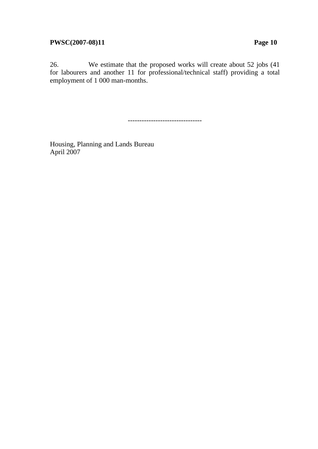26. We estimate that the proposed works will create about 52 jobs (41 for labourers and another 11 for professional/technical staff) providing a total employment of 1 000 man-months.

--------------------------------

Housing, Planning and Lands Bureau April 2007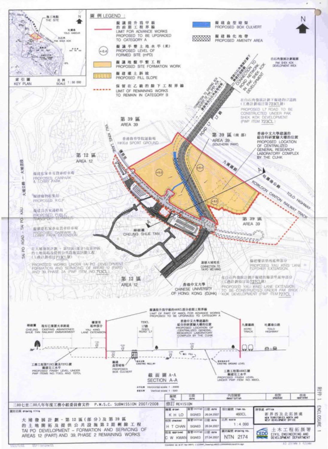

port.

u